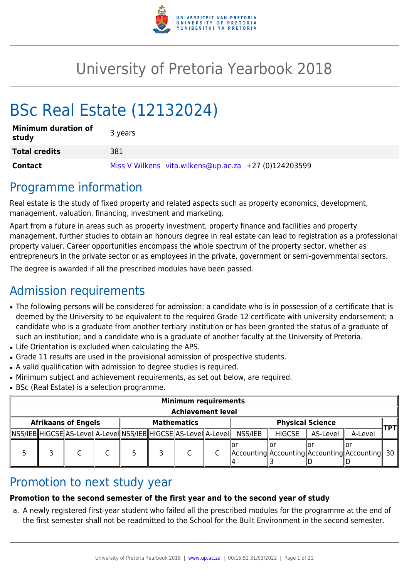

# University of Pretoria Yearbook 2018

# BSc Real Estate (12132024)

| <b>Minimum duration of</b><br>study | 3 years                                               |
|-------------------------------------|-------------------------------------------------------|
| <b>Total credits</b>                | 381                                                   |
| <b>Contact</b>                      | Miss V Wilkens vita.wilkens@up.ac.za +27 (0)124203599 |

## Programme information

Real estate is the study of fixed property and related aspects such as property economics, development, management, valuation, financing, investment and marketing.

Apart from a future in areas such as property investment, property finance and facilities and property management, further studies to obtain an honours degree in real estate can lead to registration as a professional property valuer. Career opportunities encompass the whole spectrum of the property sector, whether as entrepreneurs in the private sector or as employees in the private, government or semi-governmental sectors.

The degree is awarded if all the prescribed modules have been passed.

## Admission requirements

- The following persons will be considered for admission: a candidate who is in possession of a certificate that is deemed by the University to be equivalent to the required Grade 12 certificate with university endorsement; a candidate who is a graduate from another tertiary institution or has been granted the status of a graduate of such an institution; and a candidate who is a graduate of another faculty at the University of Pretoria.
- Life Orientation is excluded when calculating the APS.
- Grade 11 results are used in the provisional admission of prospective students.
- A valid qualification with admission to degree studies is required.
- Minimum subject and achievement requirements, as set out below, are required.
- BSc (Real Estate) is a selection programme.

| <b>Minimum requirements</b> |                            |  |  |  |                    |                                                                                  |               |                         |                                                     |      |
|-----------------------------|----------------------------|--|--|--|--------------------|----------------------------------------------------------------------------------|---------------|-------------------------|-----------------------------------------------------|------|
| <b>Achievement level</b>    |                            |  |  |  |                    |                                                                                  |               |                         |                                                     |      |
|                             | <b>Afrikaans of Engels</b> |  |  |  | <b>Mathematics</b> |                                                                                  |               | <b>Physical Science</b> |                                                     | TPTI |
|                             |                            |  |  |  |                    | NSS/IEB  HIGCSE  AS-Level  A-Level  NSS/IEB  HIGCSE  AS-Level  A-Level   NSS/IEB | <b>HIGCSE</b> | AS-Level                | A-Level                                             |      |
|                             |                            |  |  |  |                    |                                                                                  |               |                         | Accounting  Accounting  Accounting  Accounting   30 |      |

## Promotion to next study year

### **Promotion to the second semester of the first year and to the second year of study**

a. A newly registered first-year student who failed all the prescribed modules for the programme at the end of the first semester shall not be readmitted to the School for the Built Environment in the second semester.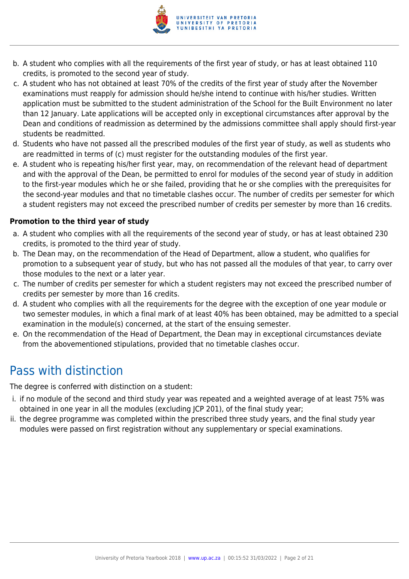

- b. A student who complies with all the requirements of the first year of study, or has at least obtained 110 credits, is promoted to the second year of study.
- c. A student who has not obtained at least 70% of the credits of the first year of study after the November examinations must reapply for admission should he/she intend to continue with his/her studies. Written application must be submitted to the student administration of the School for the Built Environment no later than 12 January. Late applications will be accepted only in exceptional circumstances after approval by the Dean and conditions of readmission as determined by the admissions committee shall apply should first-year students be readmitted.
- d. Students who have not passed all the prescribed modules of the first year of study, as well as students who are readmitted in terms of (c) must register for the outstanding modules of the first year.
- e. A student who is repeating his/her first year, may, on recommendation of the relevant head of department and with the approval of the Dean, be permitted to enrol for modules of the second year of study in addition to the first-year modules which he or she failed, providing that he or she complies with the prerequisites for the second-year modules and that no timetable clashes occur. The number of credits per semester for which a student registers may not exceed the prescribed number of credits per semester by more than 16 credits.

#### **Promotion to the third year of study**

- a. A student who complies with all the requirements of the second year of study, or has at least obtained 230 credits, is promoted to the third year of study.
- b. The Dean may, on the recommendation of the Head of Department, allow a student, who qualifies for promotion to a subsequent year of study, but who has not passed all the modules of that year, to carry over those modules to the next or a later year.
- c. The number of credits per semester for which a student registers may not exceed the prescribed number of credits per semester by more than 16 credits.
- d. A student who complies with all the requirements for the degree with the exception of one year module or two semester modules, in which a final mark of at least 40% has been obtained, may be admitted to a special examination in the module(s) concerned, at the start of the ensuing semester.
- e. On the recommendation of the Head of Department, the Dean may in exceptional circumstances deviate from the abovementioned stipulations, provided that no timetable clashes occur.

## Pass with distinction

The degree is conferred with distinction on a student:

- i. if no module of the second and third study year was repeated and a weighted average of at least 75% was obtained in one year in all the modules (excluding JCP 201), of the final study year;
- ii. the degree programme was completed within the prescribed three study years, and the final study year modules were passed on first registration without any supplementary or special examinations.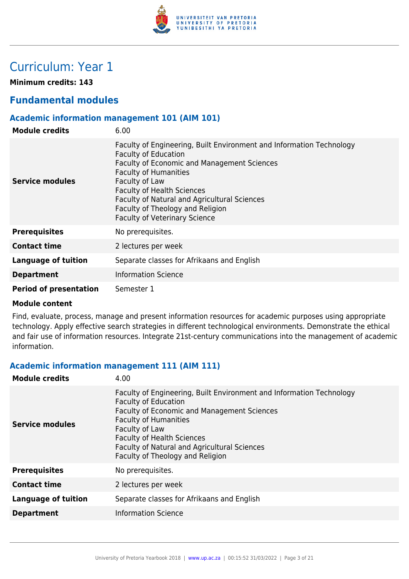

## Curriculum: Year 1

**Minimum credits: 143**

## **Fundamental modules**

#### **Academic information management 101 (AIM 101)**

| <b>Module credits</b>         | 6.00                                                                                                                                                                                                                                                                                                                                                                         |
|-------------------------------|------------------------------------------------------------------------------------------------------------------------------------------------------------------------------------------------------------------------------------------------------------------------------------------------------------------------------------------------------------------------------|
| Service modules               | Faculty of Engineering, Built Environment and Information Technology<br><b>Faculty of Education</b><br><b>Faculty of Economic and Management Sciences</b><br><b>Faculty of Humanities</b><br>Faculty of Law<br><b>Faculty of Health Sciences</b><br>Faculty of Natural and Agricultural Sciences<br>Faculty of Theology and Religion<br><b>Faculty of Veterinary Science</b> |
| <b>Prerequisites</b>          | No prerequisites.                                                                                                                                                                                                                                                                                                                                                            |
| <b>Contact time</b>           | 2 lectures per week                                                                                                                                                                                                                                                                                                                                                          |
| Language of tuition           | Separate classes for Afrikaans and English                                                                                                                                                                                                                                                                                                                                   |
| <b>Department</b>             | <b>Information Science</b>                                                                                                                                                                                                                                                                                                                                                   |
| <b>Period of presentation</b> | Semester 1                                                                                                                                                                                                                                                                                                                                                                   |

#### **Module content**

Find, evaluate, process, manage and present information resources for academic purposes using appropriate technology. Apply effective search strategies in different technological environments. Demonstrate the ethical and fair use of information resources. Integrate 21st-century communications into the management of academic information.

#### **Academic information management 111 (AIM 111)**

| <b>Module credits</b>      | 4.00                                                                                                                                                                                                                                                                                                                                 |
|----------------------------|--------------------------------------------------------------------------------------------------------------------------------------------------------------------------------------------------------------------------------------------------------------------------------------------------------------------------------------|
| Service modules            | Faculty of Engineering, Built Environment and Information Technology<br><b>Faculty of Education</b><br><b>Faculty of Economic and Management Sciences</b><br><b>Faculty of Humanities</b><br>Faculty of Law<br><b>Faculty of Health Sciences</b><br>Faculty of Natural and Agricultural Sciences<br>Faculty of Theology and Religion |
| <b>Prerequisites</b>       | No prerequisites.                                                                                                                                                                                                                                                                                                                    |
| <b>Contact time</b>        | 2 lectures per week                                                                                                                                                                                                                                                                                                                  |
| <b>Language of tuition</b> | Separate classes for Afrikaans and English                                                                                                                                                                                                                                                                                           |
| <b>Department</b>          | <b>Information Science</b>                                                                                                                                                                                                                                                                                                           |
|                            |                                                                                                                                                                                                                                                                                                                                      |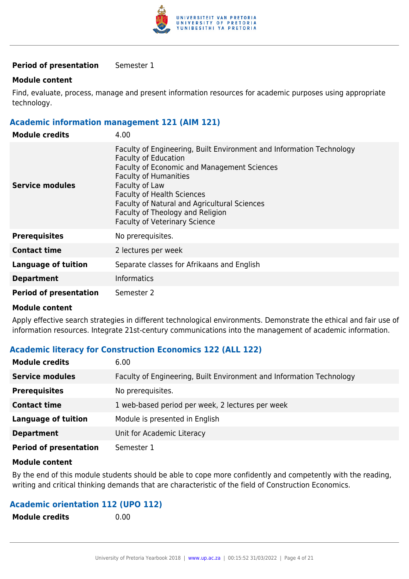

#### **Period of presentation** Semester 1

#### **Module content**

Find, evaluate, process, manage and present information resources for academic purposes using appropriate technology.

#### **Academic information management 121 (AIM 121)**

| <b>Module credits</b>         | 4.00                                                                                                                                                                                                                                                                                                                                                                  |
|-------------------------------|-----------------------------------------------------------------------------------------------------------------------------------------------------------------------------------------------------------------------------------------------------------------------------------------------------------------------------------------------------------------------|
| Service modules               | Faculty of Engineering, Built Environment and Information Technology<br><b>Faculty of Education</b><br>Faculty of Economic and Management Sciences<br><b>Faculty of Humanities</b><br>Faculty of Law<br><b>Faculty of Health Sciences</b><br>Faculty of Natural and Agricultural Sciences<br>Faculty of Theology and Religion<br><b>Faculty of Veterinary Science</b> |
| <b>Prerequisites</b>          | No prerequisites.                                                                                                                                                                                                                                                                                                                                                     |
| <b>Contact time</b>           | 2 lectures per week                                                                                                                                                                                                                                                                                                                                                   |
| <b>Language of tuition</b>    | Separate classes for Afrikaans and English                                                                                                                                                                                                                                                                                                                            |
| <b>Department</b>             | <b>Informatics</b>                                                                                                                                                                                                                                                                                                                                                    |
| <b>Period of presentation</b> | Semester 2                                                                                                                                                                                                                                                                                                                                                            |

#### **Module content**

Apply effective search strategies in different technological environments. Demonstrate the ethical and fair use of information resources. Integrate 21st-century communications into the management of academic information.

#### **Academic literacy for Construction Economics 122 (ALL 122)**

| <b>Module credits</b>         | 6.00                                                                 |
|-------------------------------|----------------------------------------------------------------------|
| <b>Service modules</b>        | Faculty of Engineering, Built Environment and Information Technology |
| <b>Prerequisites</b>          | No prerequisites.                                                    |
| <b>Contact time</b>           | 1 web-based period per week, 2 lectures per week                     |
| <b>Language of tuition</b>    | Module is presented in English                                       |
| <b>Department</b>             | Unit for Academic Literacy                                           |
| <b>Period of presentation</b> | Semester 1                                                           |

#### **Module content**

By the end of this module students should be able to cope more confidently and competently with the reading, writing and critical thinking demands that are characteristic of the field of Construction Economics.

#### **Academic orientation 112 (UPO 112)**

| <b>Module credits</b> | 0.00 |
|-----------------------|------|
|-----------------------|------|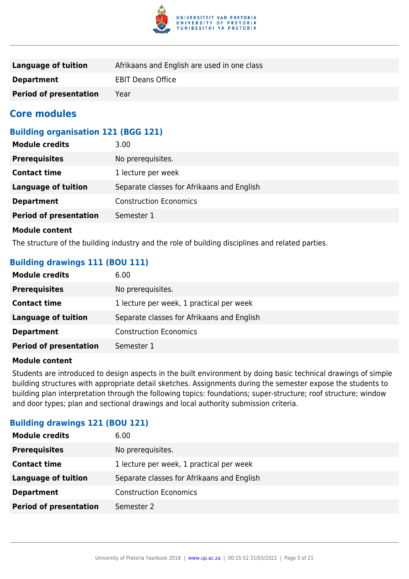

| Language of tuition           | Afrikaans and English are used in one class |
|-------------------------------|---------------------------------------------|
| <b>Department</b>             | <b>EBIT Deans Office</b>                    |
| <b>Period of presentation</b> | Year                                        |

### **Core modules**

#### **Building organisation 121 (BGG 121)**

| <b>Module credits</b>         | 3.00                                       |
|-------------------------------|--------------------------------------------|
| <b>Prerequisites</b>          | No prerequisites.                          |
| <b>Contact time</b>           | 1 lecture per week                         |
| <b>Language of tuition</b>    | Separate classes for Afrikaans and English |
| <b>Department</b>             | <b>Construction Economics</b>              |
| <b>Period of presentation</b> | Semester 1                                 |
|                               |                                            |

#### **Module content**

The structure of the building industry and the role of building disciplines and related parties.

#### **Building drawings 111 (BOU 111)**

| <b>Module credits</b>         | 6.00                                       |
|-------------------------------|--------------------------------------------|
| <b>Prerequisites</b>          | No prerequisites.                          |
| <b>Contact time</b>           | 1 lecture per week, 1 practical per week   |
| <b>Language of tuition</b>    | Separate classes for Afrikaans and English |
| <b>Department</b>             | <b>Construction Economics</b>              |
| <b>Period of presentation</b> | Semester 1                                 |

#### **Module content**

Students are introduced to design aspects in the built environment by doing basic technical drawings of simple building structures with appropriate detail sketches. Assignments during the semester expose the students to building plan interpretation through the following topics: foundations; super-structure; roof structure; window and door types; plan and sectional drawings and local authority submission criteria.

#### **Building drawings 121 (BOU 121)**

| <b>Prerequisites</b><br>No prerequisites.                                |
|--------------------------------------------------------------------------|
|                                                                          |
| 1 lecture per week, 1 practical per week<br><b>Contact time</b>          |
| <b>Language of tuition</b><br>Separate classes for Afrikaans and English |
| <b>Construction Economics</b><br><b>Department</b>                       |
| <b>Period of presentation</b><br>Semester 2                              |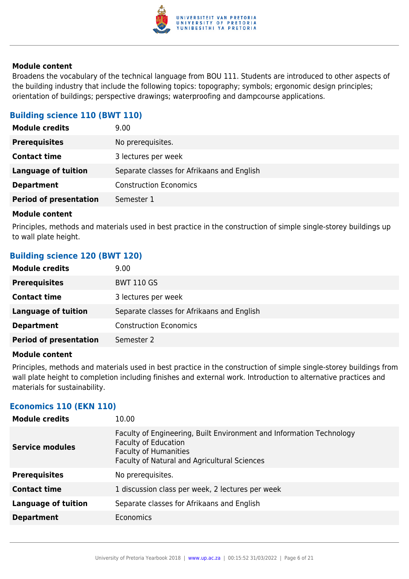

Broadens the vocabulary of the technical language from BOU 111. Students are introduced to other aspects of the building industry that include the following topics: topography; symbols; ergonomic design principles; orientation of buildings; perspective drawings; waterproofing and dampcourse applications.

#### **Building science 110 (BWT 110)**

| <b>Module credits</b>         | 9.00                                       |
|-------------------------------|--------------------------------------------|
| <b>Prerequisites</b>          | No prerequisites.                          |
| <b>Contact time</b>           | 3 lectures per week                        |
| Language of tuition           | Separate classes for Afrikaans and English |
| <b>Department</b>             | <b>Construction Economics</b>              |
| <b>Period of presentation</b> | Semester 1                                 |
|                               |                                            |

#### **Module content**

Principles, methods and materials used in best practice in the construction of simple single-storey buildings up to wall plate height.

#### **Building science 120 (BWT 120)**

| <b>Module credits</b>         | 9.00                                       |
|-------------------------------|--------------------------------------------|
| <b>Prerequisites</b>          | <b>BWT 110 GS</b>                          |
| <b>Contact time</b>           | 3 lectures per week                        |
| Language of tuition           | Separate classes for Afrikaans and English |
| <b>Department</b>             | <b>Construction Economics</b>              |
| <b>Period of presentation</b> | Semester 2                                 |

#### **Module content**

Principles, methods and materials used in best practice in the construction of simple single-storey buildings from wall plate height to completion including finishes and external work. Introduction to alternative practices and materials for sustainability.

#### **Economics 110 (EKN 110)**

| <b>Module credits</b>      | 10.00                                                                                                                                                                               |
|----------------------------|-------------------------------------------------------------------------------------------------------------------------------------------------------------------------------------|
| <b>Service modules</b>     | Faculty of Engineering, Built Environment and Information Technology<br><b>Faculty of Education</b><br><b>Faculty of Humanities</b><br>Faculty of Natural and Agricultural Sciences |
| <b>Prerequisites</b>       | No prerequisites.                                                                                                                                                                   |
| <b>Contact time</b>        | 1 discussion class per week, 2 lectures per week                                                                                                                                    |
| <b>Language of tuition</b> | Separate classes for Afrikaans and English                                                                                                                                          |
| <b>Department</b>          | Economics                                                                                                                                                                           |
|                            |                                                                                                                                                                                     |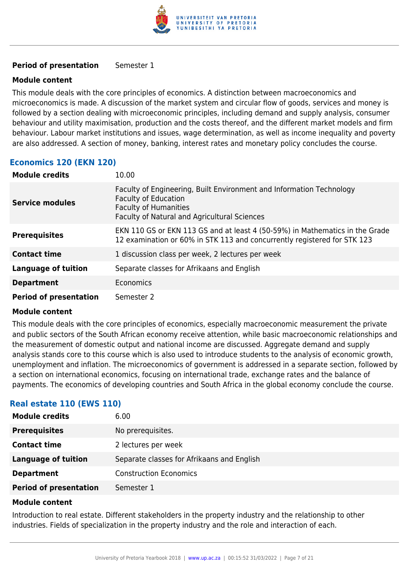

#### **Period of presentation** Semester 1

#### **Module content**

This module deals with the core principles of economics. A distinction between macroeconomics and microeconomics is made. A discussion of the market system and circular flow of goods, services and money is followed by a section dealing with microeconomic principles, including demand and supply analysis, consumer behaviour and utility maximisation, production and the costs thereof, and the different market models and firm behaviour. Labour market institutions and issues, wage determination, as well as income inequality and poverty are also addressed. A section of money, banking, interest rates and monetary policy concludes the course.

#### **Economics 120 (EKN 120)**

| <b>Module credits</b>         | 10.00                                                                                                                                                                               |
|-------------------------------|-------------------------------------------------------------------------------------------------------------------------------------------------------------------------------------|
| <b>Service modules</b>        | Faculty of Engineering, Built Environment and Information Technology<br><b>Faculty of Education</b><br><b>Faculty of Humanities</b><br>Faculty of Natural and Agricultural Sciences |
| <b>Prerequisites</b>          | EKN 110 GS or EKN 113 GS and at least 4 (50-59%) in Mathematics in the Grade<br>12 examination or 60% in STK 113 and concurrently registered for STK 123                            |
| <b>Contact time</b>           | 1 discussion class per week, 2 lectures per week                                                                                                                                    |
| <b>Language of tuition</b>    | Separate classes for Afrikaans and English                                                                                                                                          |
| <b>Department</b>             | Economics                                                                                                                                                                           |
| <b>Period of presentation</b> | Semester 2                                                                                                                                                                          |

#### **Module content**

This module deals with the core principles of economics, especially macroeconomic measurement the private and public sectors of the South African economy receive attention, while basic macroeconomic relationships and the measurement of domestic output and national income are discussed. Aggregate demand and supply analysis stands core to this course which is also used to introduce students to the analysis of economic growth, unemployment and inflation. The microeconomics of government is addressed in a separate section, followed by a section on international economics, focusing on international trade, exchange rates and the balance of payments. The economics of developing countries and South Africa in the global economy conclude the course.

#### **Real estate 110 (EWS 110)**

| <b>Module credits</b>         | 6.00                                       |
|-------------------------------|--------------------------------------------|
| <b>Prerequisites</b>          | No prerequisites.                          |
| <b>Contact time</b>           | 2 lectures per week                        |
| <b>Language of tuition</b>    | Separate classes for Afrikaans and English |
| <b>Department</b>             | <b>Construction Economics</b>              |
| <b>Period of presentation</b> | Semester 1                                 |

#### **Module content**

Introduction to real estate. Different stakeholders in the property industry and the relationship to other industries. Fields of specialization in the property industry and the role and interaction of each.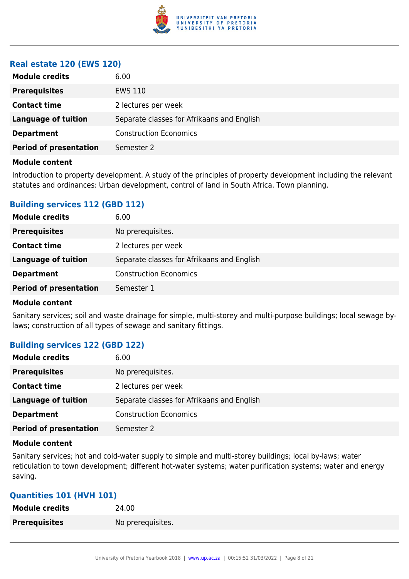

#### **Real estate 120 (EWS 120)**

| <b>Module credits</b>         | 6.00                                       |
|-------------------------------|--------------------------------------------|
| <b>Prerequisites</b>          | EWS 110                                    |
| <b>Contact time</b>           | 2 lectures per week                        |
| <b>Language of tuition</b>    | Separate classes for Afrikaans and English |
| <b>Department</b>             | <b>Construction Economics</b>              |
| <b>Period of presentation</b> | Semester 2                                 |
|                               |                                            |

#### **Module content**

Introduction to property development. A study of the principles of property development including the relevant statutes and ordinances: Urban development, control of land in South Africa. Town planning.

#### **Building services 112 (GBD 112)**

| <b>Module credits</b>         | 6.00                                       |
|-------------------------------|--------------------------------------------|
| <b>Prerequisites</b>          | No prerequisites.                          |
| <b>Contact time</b>           | 2 lectures per week                        |
| Language of tuition           | Separate classes for Afrikaans and English |
| <b>Department</b>             | <b>Construction Economics</b>              |
| <b>Period of presentation</b> | Semester 1                                 |

#### **Module content**

Sanitary services; soil and waste drainage for simple, multi-storey and multi-purpose buildings; local sewage bylaws; construction of all types of sewage and sanitary fittings.

#### **Building services 122 (GBD 122)**

| <b>Module credits</b>         | 6.00                                       |
|-------------------------------|--------------------------------------------|
| <b>Prerequisites</b>          | No prerequisites.                          |
| <b>Contact time</b>           | 2 lectures per week                        |
| <b>Language of tuition</b>    | Separate classes for Afrikaans and English |
| <b>Department</b>             | <b>Construction Economics</b>              |
| <b>Period of presentation</b> | Semester 2                                 |

#### **Module content**

Sanitary services; hot and cold-water supply to simple and multi-storey buildings; local by-laws; water reticulation to town development; different hot-water systems; water purification systems; water and energy saving.

#### **Quantities 101 (HVH 101)**

| <b>Module credits</b> | 24.00             |
|-----------------------|-------------------|
| <b>Prerequisites</b>  | No prerequisites. |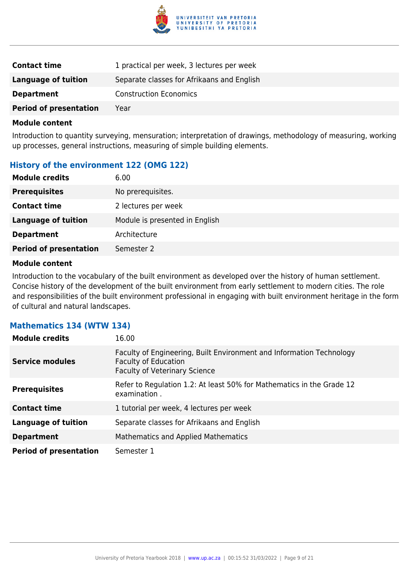

| <b>Contact time</b>           | 1 practical per week, 3 lectures per week  |
|-------------------------------|--------------------------------------------|
| Language of tuition           | Separate classes for Afrikaans and English |
| <b>Department</b>             | <b>Construction Economics</b>              |
| <b>Period of presentation</b> | Year                                       |

Introduction to quantity surveying, mensuration; interpretation of drawings, methodology of measuring, working up processes, general instructions, measuring of simple building elements.

#### **History of the environment 122 (OMG 122)**

| <b>Module credits</b>         | 6.00                           |
|-------------------------------|--------------------------------|
| <b>Prerequisites</b>          | No prerequisites.              |
| <b>Contact time</b>           | 2 lectures per week            |
| <b>Language of tuition</b>    | Module is presented in English |
| <b>Department</b>             | Architecture                   |
| <b>Period of presentation</b> | Semester 2                     |

#### **Module content**

Introduction to the vocabulary of the built environment as developed over the history of human settlement. Concise history of the development of the built environment from early settlement to modern cities. The role and responsibilities of the built environment professional in engaging with built environment heritage in the form of cultural and natural landscapes.

#### **Mathematics 134 (WTW 134)**

| <b>Module credits</b>         | 16.00                                                                                                                                       |
|-------------------------------|---------------------------------------------------------------------------------------------------------------------------------------------|
| <b>Service modules</b>        | Faculty of Engineering, Built Environment and Information Technology<br><b>Faculty of Education</b><br><b>Faculty of Veterinary Science</b> |
| <b>Prerequisites</b>          | Refer to Regulation 1.2: At least 50% for Mathematics in the Grade 12<br>examination.                                                       |
| <b>Contact time</b>           | 1 tutorial per week, 4 lectures per week                                                                                                    |
| <b>Language of tuition</b>    | Separate classes for Afrikaans and English                                                                                                  |
| <b>Department</b>             | Mathematics and Applied Mathematics                                                                                                         |
| <b>Period of presentation</b> | Semester 1                                                                                                                                  |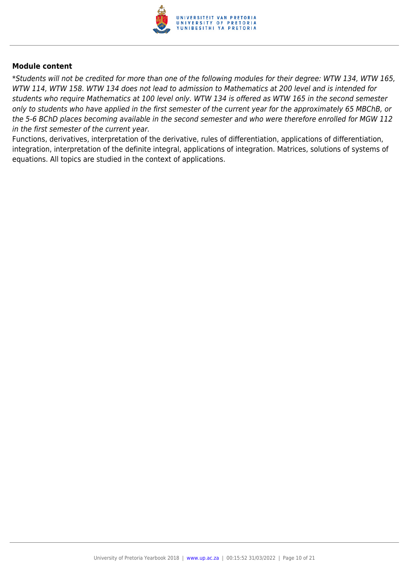

\*Students will not be credited for more than one of the following modules for their degree: WTW 134, WTW 165, WTW 114, WTW 158. WTW 134 does not lead to admission to Mathematics at 200 level and is intended for students who require Mathematics at 100 level only. WTW 134 is offered as WTW 165 in the second semester only to students who have applied in the first semester of the current year for the approximately 65 MBChB, or the 5-6 BChD places becoming available in the second semester and who were therefore enrolled for MGW 112 in the first semester of the current year.

Functions, derivatives, interpretation of the derivative, rules of differentiation, applications of differentiation, integration, interpretation of the definite integral, applications of integration. Matrices, solutions of systems of equations. All topics are studied in the context of applications.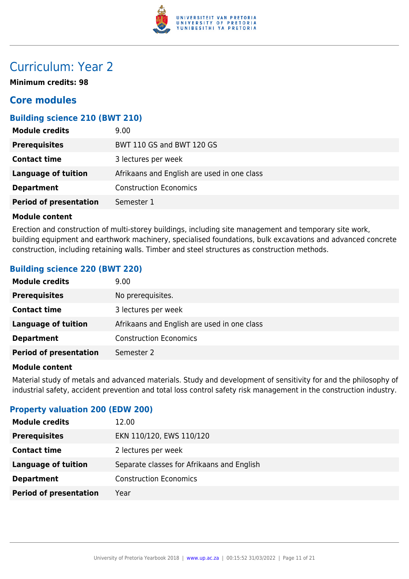

## Curriculum: Year 2

**Minimum credits: 98**

### **Core modules**

#### **Building science 210 (BWT 210)**

| <b>Module credits</b>         | 9.00                                        |
|-------------------------------|---------------------------------------------|
| <b>Prerequisites</b>          | BWT 110 GS and BWT 120 GS                   |
| <b>Contact time</b>           | 3 lectures per week                         |
| Language of tuition           | Afrikaans and English are used in one class |
| <b>Department</b>             | <b>Construction Economics</b>               |
| <b>Period of presentation</b> | Semester 1                                  |

#### **Module content**

Erection and construction of multi-storey buildings, including site management and temporary site work, building equipment and earthwork machinery, specialised foundations, bulk excavations and advanced concrete construction, including retaining walls. Timber and steel structures as construction methods.

#### **Building science 220 (BWT 220)**

| <b>Module credits</b>         | 9.00 <sub>1</sub>                           |
|-------------------------------|---------------------------------------------|
| <b>Prerequisites</b>          | No prerequisites.                           |
| <b>Contact time</b>           | 3 lectures per week                         |
| <b>Language of tuition</b>    | Afrikaans and English are used in one class |
| <b>Department</b>             | <b>Construction Economics</b>               |
| <b>Period of presentation</b> | Semester 2                                  |

#### **Module content**

Material study of metals and advanced materials. Study and development of sensitivity for and the philosophy of industrial safety, accident prevention and total loss control safety risk management in the construction industry.

#### **Property valuation 200 (EDW 200)**

| <b>Module credits</b>         | 12.00                                      |
|-------------------------------|--------------------------------------------|
| <b>Prerequisites</b>          | EKN 110/120, EWS 110/120                   |
| <b>Contact time</b>           | 2 lectures per week                        |
| <b>Language of tuition</b>    | Separate classes for Afrikaans and English |
| <b>Department</b>             | <b>Construction Economics</b>              |
| <b>Period of presentation</b> | Year                                       |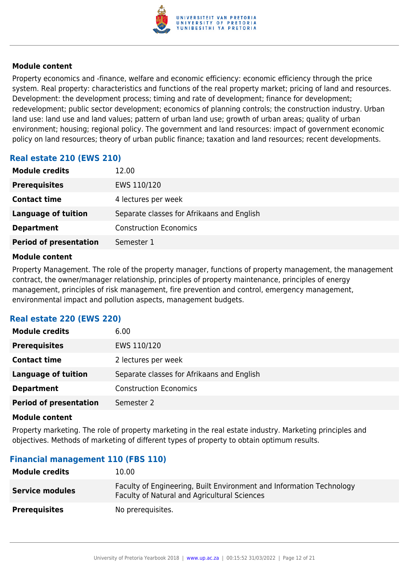

Property economics and -finance, welfare and economic efficiency: economic efficiency through the price system. Real property: characteristics and functions of the real property market; pricing of land and resources. Development: the development process; timing and rate of development; finance for development; redevelopment; public sector development; economics of planning controls; the construction industry. Urban land use: land use and land values; pattern of urban land use; growth of urban areas; quality of urban environment; housing; regional policy. The government and land resources: impact of government economic policy on land resources; theory of urban public finance; taxation and land resources; recent developments.

### **Real estate 210 (EWS 210)**

| <b>Module credits</b>         | 12.00                                      |
|-------------------------------|--------------------------------------------|
| <b>Prerequisites</b>          | EWS 110/120                                |
| <b>Contact time</b>           | 4 lectures per week                        |
| <b>Language of tuition</b>    | Separate classes for Afrikaans and English |
| <b>Department</b>             | <b>Construction Economics</b>              |
| <b>Period of presentation</b> | Semester 1                                 |

#### **Module content**

Property Management. The role of the property manager, functions of property management, the management contract, the owner/manager relationship, principles of property maintenance, principles of energy management, principles of risk management, fire prevention and control, emergency management, environmental impact and pollution aspects, management budgets.

#### **Real estate 220 (EWS 220)**

| <b>Module credits</b>         | 6.00                                       |
|-------------------------------|--------------------------------------------|
| <b>Prerequisites</b>          | EWS 110/120                                |
| <b>Contact time</b>           | 2 lectures per week                        |
| <b>Language of tuition</b>    | Separate classes for Afrikaans and English |
| <b>Department</b>             | <b>Construction Economics</b>              |
| <b>Period of presentation</b> | Semester 2                                 |

#### **Module content**

Property marketing. The role of property marketing in the real estate industry. Marketing principles and objectives. Methods of marketing of different types of property to obtain optimum results.

#### **Financial management 110 (FBS 110)**

| <b>Module credits</b>  | 10.00                                                                                                                       |
|------------------------|-----------------------------------------------------------------------------------------------------------------------------|
| <b>Service modules</b> | Faculty of Engineering, Built Environment and Information Technology<br><b>Faculty of Natural and Agricultural Sciences</b> |
| <b>Prerequisites</b>   | No prerequisites.                                                                                                           |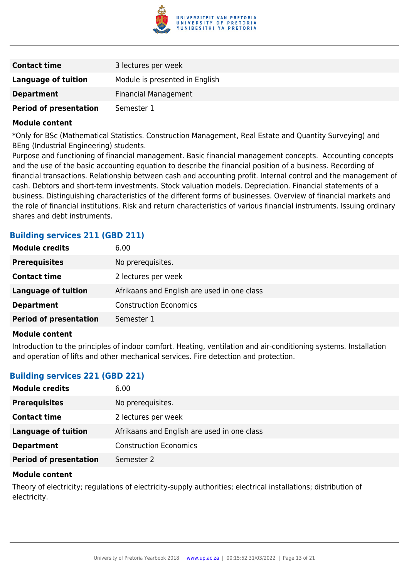

| <b>Contact time</b>           | 3 lectures per week            |
|-------------------------------|--------------------------------|
| Language of tuition           | Module is presented in English |
| <b>Department</b>             | <b>Financial Management</b>    |
| <b>Period of presentation</b> | Semester 1                     |

\*Only for BSc (Mathematical Statistics. Construction Management, Real Estate and Quantity Surveying) and BEng (Industrial Engineering) students.

Purpose and functioning of financial management. Basic financial management concepts. Accounting concepts and the use of the basic accounting equation to describe the financial position of a business. Recording of financial transactions. Relationship between cash and accounting profit. Internal control and the management of cash. Debtors and short-term investments. Stock valuation models. Depreciation. Financial statements of a business. Distinguishing characteristics of the different forms of businesses. Overview of financial markets and the role of financial institutions. Risk and return characteristics of various financial instruments. Issuing ordinary shares and debt instruments.

#### **Building services 211 (GBD 211)**

| <b>Module credits</b>         | 6.00                                        |
|-------------------------------|---------------------------------------------|
| <b>Prerequisites</b>          | No prerequisites.                           |
| <b>Contact time</b>           | 2 lectures per week                         |
| <b>Language of tuition</b>    | Afrikaans and English are used in one class |
| <b>Department</b>             | <b>Construction Economics</b>               |
| <b>Period of presentation</b> | Semester 1                                  |

#### **Module content**

Introduction to the principles of indoor comfort. Heating, ventilation and air-conditioning systems. Installation and operation of lifts and other mechanical services. Fire detection and protection.

#### **Building services 221 (GBD 221)**

| <b>Module credits</b>         | 6.00                                        |
|-------------------------------|---------------------------------------------|
| <b>Prerequisites</b>          | No prerequisites.                           |
| <b>Contact time</b>           | 2 lectures per week                         |
| Language of tuition           | Afrikaans and English are used in one class |
| <b>Department</b>             | <b>Construction Economics</b>               |
| <b>Period of presentation</b> | Semester 2                                  |

#### **Module content**

Theory of electricity; regulations of electricity-supply authorities; electrical installations; distribution of electricity.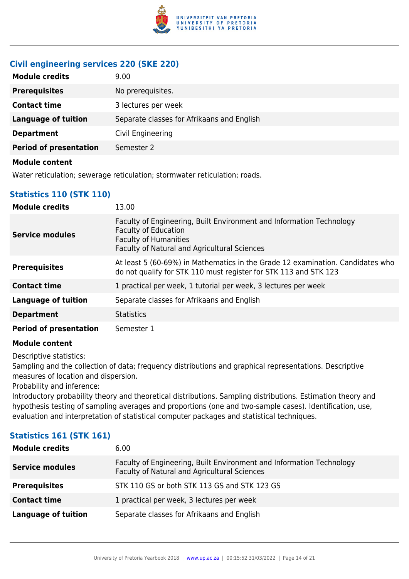

### **Civil engineering services 220 (SKE 220)**

| <b>Module credits</b>         | 9.00                                       |
|-------------------------------|--------------------------------------------|
| <b>Prerequisites</b>          | No prerequisites.                          |
| <b>Contact time</b>           | 3 lectures per week                        |
| <b>Language of tuition</b>    | Separate classes for Afrikaans and English |
| <b>Department</b>             | Civil Engineering                          |
| <b>Period of presentation</b> | Semester 2                                 |
| Module content                |                                            |

Water reticulation; sewerage reticulation; stormwater reticulation; roads.

### **Statistics 110 (STK 110)**

| <b>Module credits</b>         | 13.00                                                                                                                                                                               |
|-------------------------------|-------------------------------------------------------------------------------------------------------------------------------------------------------------------------------------|
| <b>Service modules</b>        | Faculty of Engineering, Built Environment and Information Technology<br><b>Faculty of Education</b><br><b>Faculty of Humanities</b><br>Faculty of Natural and Agricultural Sciences |
| <b>Prerequisites</b>          | At least 5 (60-69%) in Mathematics in the Grade 12 examination. Candidates who<br>do not qualify for STK 110 must register for STK 113 and STK 123                                  |
| <b>Contact time</b>           | 1 practical per week, 1 tutorial per week, 3 lectures per week                                                                                                                      |
| <b>Language of tuition</b>    | Separate classes for Afrikaans and English                                                                                                                                          |
| <b>Department</b>             | <b>Statistics</b>                                                                                                                                                                   |
| <b>Period of presentation</b> | Semester 1                                                                                                                                                                          |

#### **Module content**

Descriptive statistics:

Sampling and the collection of data; frequency distributions and graphical representations. Descriptive measures of location and dispersion.

Probability and inference:

Introductory probability theory and theoretical distributions. Sampling distributions. Estimation theory and hypothesis testing of sampling averages and proportions (one and two-sample cases). Identification, use, evaluation and interpretation of statistical computer packages and statistical techniques.

#### **Statistics 161 (STK 161)**

| <b>Module credits</b>      | 6.00                                                                                                                 |
|----------------------------|----------------------------------------------------------------------------------------------------------------------|
| <b>Service modules</b>     | Faculty of Engineering, Built Environment and Information Technology<br>Faculty of Natural and Agricultural Sciences |
| <b>Prerequisites</b>       | STK 110 GS or both STK 113 GS and STK 123 GS                                                                         |
| <b>Contact time</b>        | 1 practical per week, 3 lectures per week                                                                            |
| <b>Language of tuition</b> | Separate classes for Afrikaans and English                                                                           |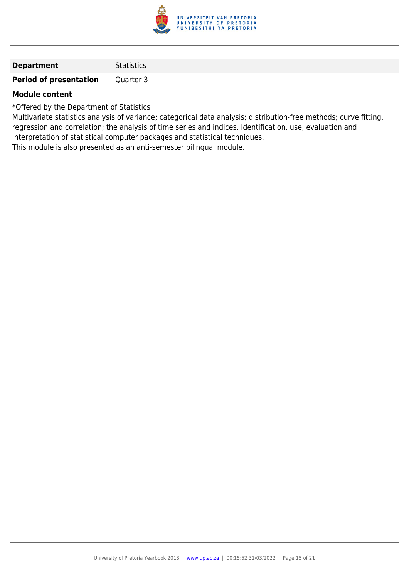

| <b>Statistics</b> |
|-------------------|
|                   |

**Period of presentation** Quarter 3

#### **Module content**

\*Offered by the Department of Statistics

Multivariate statistics analysis of variance; categorical data analysis; distribution-free methods; curve fitting, regression and correlation; the analysis of time series and indices. Identification, use, evaluation and interpretation of statistical computer packages and statistical techniques.

This module is also presented as an anti-semester bilingual module.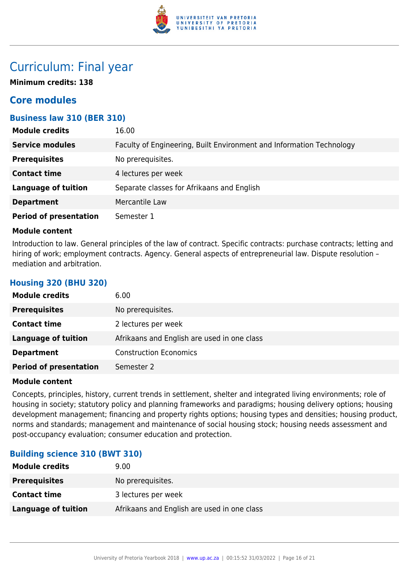

## Curriculum: Final year

**Minimum credits: 138**

## **Core modules**

#### **Business law 310 (BER 310)**

| <b>Module credits</b>         | 16.00                                                                |
|-------------------------------|----------------------------------------------------------------------|
| <b>Service modules</b>        | Faculty of Engineering, Built Environment and Information Technology |
| <b>Prerequisites</b>          | No prerequisites.                                                    |
| <b>Contact time</b>           | 4 lectures per week                                                  |
| <b>Language of tuition</b>    | Separate classes for Afrikaans and English                           |
| <b>Department</b>             | Mercantile Law                                                       |
| <b>Period of presentation</b> | Semester 1                                                           |

#### **Module content**

**Housing 320 (BHU 320)**

Introduction to law. General principles of the law of contract. Specific contracts: purchase contracts; letting and hiring of work; employment contracts. Agency. General aspects of entrepreneurial law. Dispute resolution mediation and arbitration.

| <b>Module credits</b>         | 6.00                                        |
|-------------------------------|---------------------------------------------|
| <b>Prerequisites</b>          | No prerequisites.                           |
| <b>Contact time</b>           | 2 lectures per week                         |
| <b>Language of tuition</b>    | Afrikaans and English are used in one class |
| <b>Department</b>             | <b>Construction Economics</b>               |
| <b>Period of presentation</b> | Semester 2                                  |

#### **Module content**

Concepts, principles, history, current trends in settlement, shelter and integrated living environments; role of housing in society; statutory policy and planning frameworks and paradigms; housing delivery options; housing development management; financing and property rights options; housing types and densities; housing product, norms and standards; management and maintenance of social housing stock; housing needs assessment and post-occupancy evaluation; consumer education and protection.

#### **Building science 310 (BWT 310)**

| <b>Module credits</b>      | 9.00                                        |
|----------------------------|---------------------------------------------|
| <b>Prerequisites</b>       | No prerequisites.                           |
| <b>Contact time</b>        | 3 lectures per week                         |
| <b>Language of tuition</b> | Afrikaans and English are used in one class |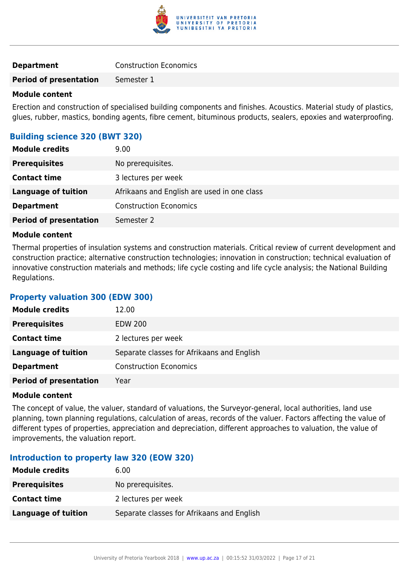

| <b>Department</b> | <b>Construction Economics</b> |  |
|-------------------|-------------------------------|--|
|                   |                               |  |

**Period of presentation** Semester 1

#### **Module content**

Erection and construction of specialised building components and finishes. Acoustics. Material study of plastics, glues, rubber, mastics, bonding agents, fibre cement, bituminous products, sealers, epoxies and waterproofing.

#### **Building science 320 (BWT 320)**

| <b>Module credits</b>         | 9.00                                        |
|-------------------------------|---------------------------------------------|
| <b>Prerequisites</b>          | No prerequisites.                           |
| <b>Contact time</b>           | 3 lectures per week                         |
| Language of tuition           | Afrikaans and English are used in one class |
| <b>Department</b>             | <b>Construction Economics</b>               |
| <b>Period of presentation</b> | Semester 2                                  |

#### **Module content**

Thermal properties of insulation systems and construction materials. Critical review of current development and construction practice; alternative construction technologies; innovation in construction; technical evaluation of innovative construction materials and methods; life cycle costing and life cycle analysis; the National Building Regulations.

#### **Property valuation 300 (EDW 300)**

| <b>Module credits</b>         | 12.00                                      |
|-------------------------------|--------------------------------------------|
| <b>Prerequisites</b>          | <b>EDW 200</b>                             |
| <b>Contact time</b>           | 2 lectures per week                        |
| <b>Language of tuition</b>    | Separate classes for Afrikaans and English |
| <b>Department</b>             | <b>Construction Economics</b>              |
| <b>Period of presentation</b> | Year                                       |

#### **Module content**

The concept of value, the valuer, standard of valuations, the Surveyor-general, local authorities, land use planning, town planning regulations, calculation of areas, records of the valuer. Factors affecting the value of different types of properties, appreciation and depreciation, different approaches to valuation, the value of improvements, the valuation report.

#### **Introduction to property law 320 (EOW 320)**

| <b>Module credits</b> | 6.00                                       |
|-----------------------|--------------------------------------------|
| <b>Prerequisites</b>  | No prerequisites.                          |
| <b>Contact time</b>   | 2 lectures per week                        |
| Language of tuition   | Separate classes for Afrikaans and English |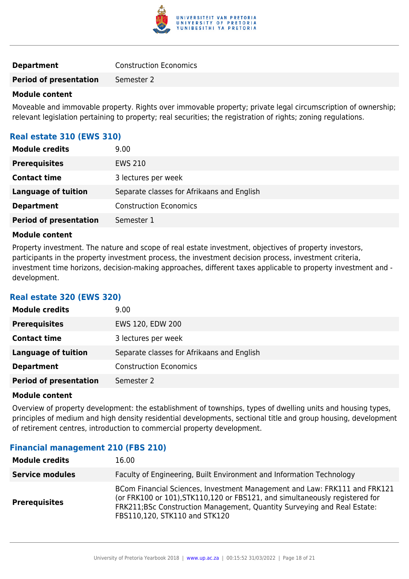

|  | <b>Construction Economics</b> |
|--|-------------------------------|

**Period of presentation** Semester 2

#### **Module content**

Moveable and immovable property. Rights over immovable property; private legal circumscription of ownership; relevant legislation pertaining to property; real securities; the registration of rights; zoning regulations.

#### **Real estate 310 (EWS 310)**

| <b>Module credits</b>         | 9.00                                       |
|-------------------------------|--------------------------------------------|
| <b>Prerequisites</b>          | <b>EWS 210</b>                             |
| <b>Contact time</b>           | 3 lectures per week                        |
| <b>Language of tuition</b>    | Separate classes for Afrikaans and English |
| <b>Department</b>             | <b>Construction Economics</b>              |
| <b>Period of presentation</b> | Semester 1                                 |

#### **Module content**

Property investment. The nature and scope of real estate investment, objectives of property investors, participants in the property investment process, the investment decision process, investment criteria, investment time horizons, decision-making approaches, different taxes applicable to property investment and development.

#### **Real estate 320 (EWS 320)**

| <b>Module credits</b>         | 9.00                                       |
|-------------------------------|--------------------------------------------|
| <b>Prerequisites</b>          | EWS 120, EDW 200                           |
| <b>Contact time</b>           | 3 lectures per week                        |
| Language of tuition           | Separate classes for Afrikaans and English |
| <b>Department</b>             | <b>Construction Economics</b>              |
| <b>Period of presentation</b> | Semester 2                                 |

#### **Module content**

Overview of property development: the establishment of townships, types of dwelling units and housing types, principles of medium and high density residential developments, sectional title and group housing, development of retirement centres, introduction to commercial property development.

#### **Financial management 210 (FBS 210)**

| <b>Module credits</b>  | 16.00                                                                                                                                                                                                                                                                 |
|------------------------|-----------------------------------------------------------------------------------------------------------------------------------------------------------------------------------------------------------------------------------------------------------------------|
| <b>Service modules</b> | Faculty of Engineering, Built Environment and Information Technology                                                                                                                                                                                                  |
| <b>Prerequisites</b>   | BCom Financial Sciences, Investment Management and Law: FRK111 and FRK121<br>(or FRK100 or 101), STK110, 120 or FBS121, and simultaneously registered for<br>FRK211;BSc Construction Management, Quantity Surveying and Real Estate:<br>FBS110,120, STK110 and STK120 |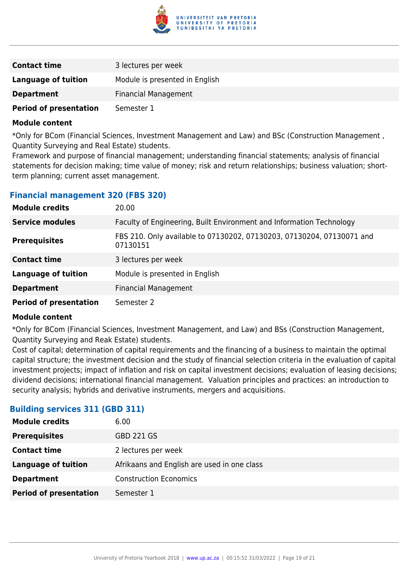

| <b>Contact time</b>           | 3 lectures per week            |
|-------------------------------|--------------------------------|
| Language of tuition           | Module is presented in English |
| <b>Department</b>             | <b>Financial Management</b>    |
| <b>Period of presentation</b> | Semester 1                     |

\*Only for BCom (Financial Sciences, Investment Management and Law) and BSc (Construction Management , Quantity Surveying and Real Estate) students.

Framework and purpose of financial management; understanding financial statements; analysis of financial statements for decision making; time value of money; risk and return relationships; business valuation; shortterm planning; current asset management.

#### **Financial management 320 (FBS 320)**

| <b>Module credits</b>         | 20.00                                                                             |
|-------------------------------|-----------------------------------------------------------------------------------|
| <b>Service modules</b>        | Faculty of Engineering, Built Environment and Information Technology              |
| <b>Prerequisites</b>          | FBS 210. Only available to 07130202, 07130203, 07130204, 07130071 and<br>07130151 |
| <b>Contact time</b>           | 3 lectures per week                                                               |
| <b>Language of tuition</b>    | Module is presented in English                                                    |
| <b>Department</b>             | <b>Financial Management</b>                                                       |
| <b>Period of presentation</b> | Semester 2                                                                        |

#### **Module content**

\*Only for BCom (Financial Sciences, Investment Management, and Law) and BSs (Construction Management, Quantity Surveying and Reak Estate) students.

Cost of capital; determination of capital requirements and the financing of a business to maintain the optimal capital structure; the investment decision and the study of financial selection criteria in the evaluation of capital investment projects; impact of inflation and risk on capital investment decisions; evaluation of leasing decisions; dividend decisions; international financial management. Valuation principles and practices: an introduction to security analysis; hybrids and derivative instruments, mergers and acquisitions.

#### **Building services 311 (GBD 311)**

| <b>Module credits</b>         | 6.00                                        |
|-------------------------------|---------------------------------------------|
| <b>Prerequisites</b>          | <b>GBD 221 GS</b>                           |
| <b>Contact time</b>           | 2 lectures per week                         |
| <b>Language of tuition</b>    | Afrikaans and English are used in one class |
| <b>Department</b>             | <b>Construction Economics</b>               |
| <b>Period of presentation</b> | Semester 1                                  |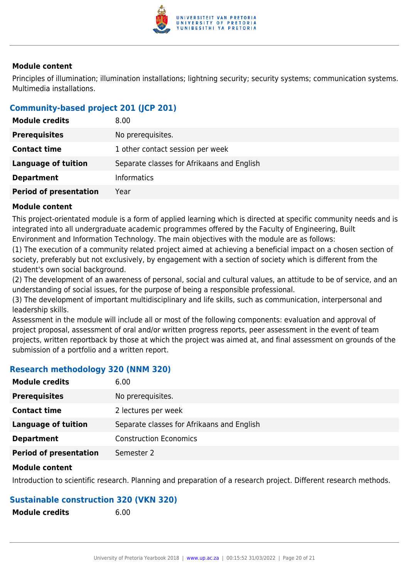

Principles of illumination; illumination installations; lightning security; security systems; communication systems. Multimedia installations.

### **Community-based project 201 (JCP 201)**

| <b>Module credits</b>         | 8.00                                       |
|-------------------------------|--------------------------------------------|
| <b>Prerequisites</b>          | No prerequisites.                          |
| <b>Contact time</b>           | 1 other contact session per week           |
| Language of tuition           | Separate classes for Afrikaans and English |
| <b>Department</b>             | <b>Informatics</b>                         |
| <b>Period of presentation</b> | Year                                       |

#### **Module content**

This project-orientated module is a form of applied learning which is directed at specific community needs and is integrated into all undergraduate academic programmes offered by the Faculty of Engineering, Built Environment and Information Technology. The main objectives with the module are as follows:

(1) The execution of a community related project aimed at achieving a beneficial impact on a chosen section of society, preferably but not exclusively, by engagement with a section of society which is different from the student's own social background.

(2) The development of an awareness of personal, social and cultural values, an attitude to be of service, and an understanding of social issues, for the purpose of being a responsible professional.

(3) The development of important multidisciplinary and life skills, such as communication, interpersonal and leadership skills.

Assessment in the module will include all or most of the following components: evaluation and approval of project proposal, assessment of oral and/or written progress reports, peer assessment in the event of team projects, written reportback by those at which the project was aimed at, and final assessment on grounds of the submission of a portfolio and a written report.

#### **Research methodology 320 (NNM 320)**

| <b>Module credits</b>         | 6.00                                       |
|-------------------------------|--------------------------------------------|
| <b>Prerequisites</b>          | No prerequisites.                          |
| <b>Contact time</b>           | 2 lectures per week                        |
| <b>Language of tuition</b>    | Separate classes for Afrikaans and English |
| <b>Department</b>             | <b>Construction Economics</b>              |
| <b>Period of presentation</b> | Semester 2                                 |

#### **Module content**

Introduction to scientific research. Planning and preparation of a research project. Different research methods.

#### **Sustainable construction 320 (VKN 320)**

| <b>Module credits</b> | 6.00 |
|-----------------------|------|
|                       |      |